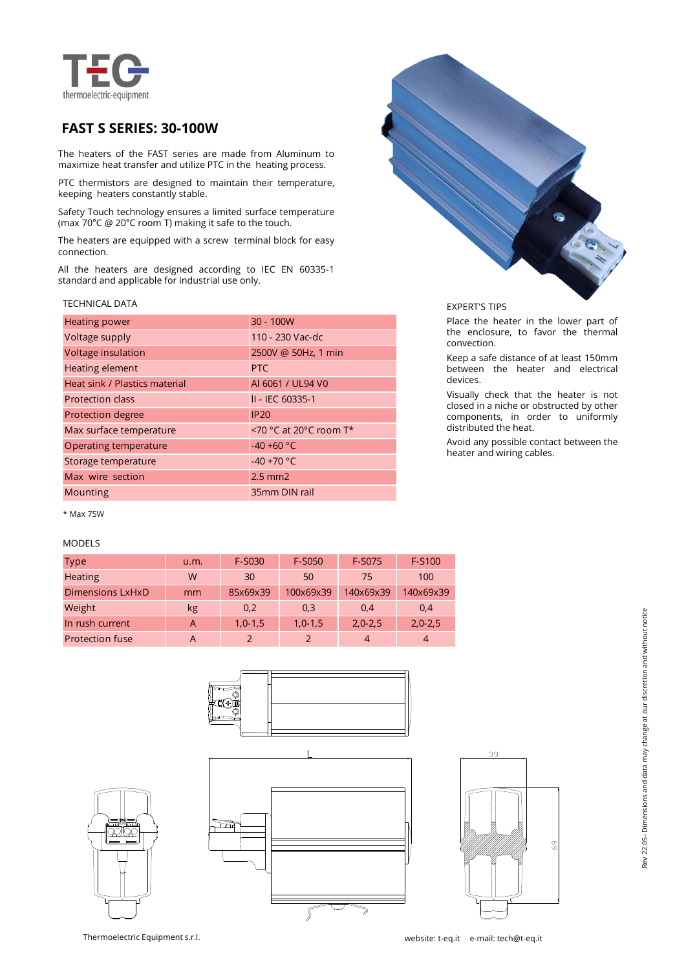

# **FAST S SERIES: 30-100W**

The heaters of the FAST series are made from Aluminum to maximize heat transfer and utilize PTC in the heating process.

PTC thermistors are designed to maintain their temperature, keeping heaters constantly stable.

Safety Touch technology ensures a limited surface temperature (max 70°C @ 20°C room T) making it safe to the touch.

The heaters are equipped with a screw terminal block for easy connection.

All the heaters are designed according to IEC EN 60335-1 standard and applicable for industrial use only.

### TECHNICAL DATA

| <b>Heating power</b>          | 30 - 100W              |
|-------------------------------|------------------------|
| Voltage supply                | 110 - 230 Vac-dc       |
| Voltage insulation            | 2500V @ 50Hz, 1 min    |
| Heating element               | PTC                    |
| Heat sink / Plastics material | AI 6061 / UL94 V0      |
| <b>Protection class</b>       | II - IEC 60335-1       |
| <b>Protection degree</b>      | IP20                   |
| Max surface temperature       | <70 °C at 20°C room T* |
| Operating temperature         | $-40 + 60 °C$          |
| Storage temperature           | $-40 + 70 °C$          |
| Max wire section              | $2.5$ mm $2$           |
| Mounting                      | 35mm DIN rail          |

\* Max 75W

## MODELS

| <b>Type</b>             | u.m.           | F-S030    | F-S050    | F-S075    | F-S100    |
|-------------------------|----------------|-----------|-----------|-----------|-----------|
| <b>Heating</b>          | W              | 30        | 50        | 75        | 100       |
| <b>Dimensions LxHxD</b> | mm             | 85x69x39  | 100x69x39 | 140x69x39 | 140x69x39 |
| Weight                  | kg             | 0,2       | 0,3       | 0.4       | 0,4       |
| In rush current         | $\overline{A}$ | $1,0-1,5$ | $1,0-1,5$ | $2,0-2,5$ | $2,0-2,5$ |
| <b>Protection fuse</b>  | A              |           |           | 4         |           |







EXPERT'S TIPS

Place the heater in the lower part of the enclosure, to favor the thermal convection.

Keep a safe distance of at least 150mm between the heater and electrical devices.

Visually check that the heater is not closed in a niche or obstructed by other components, in order to uniformly distributed the heat.

Avoid any possible contact between the heater and wiring cables.



99199